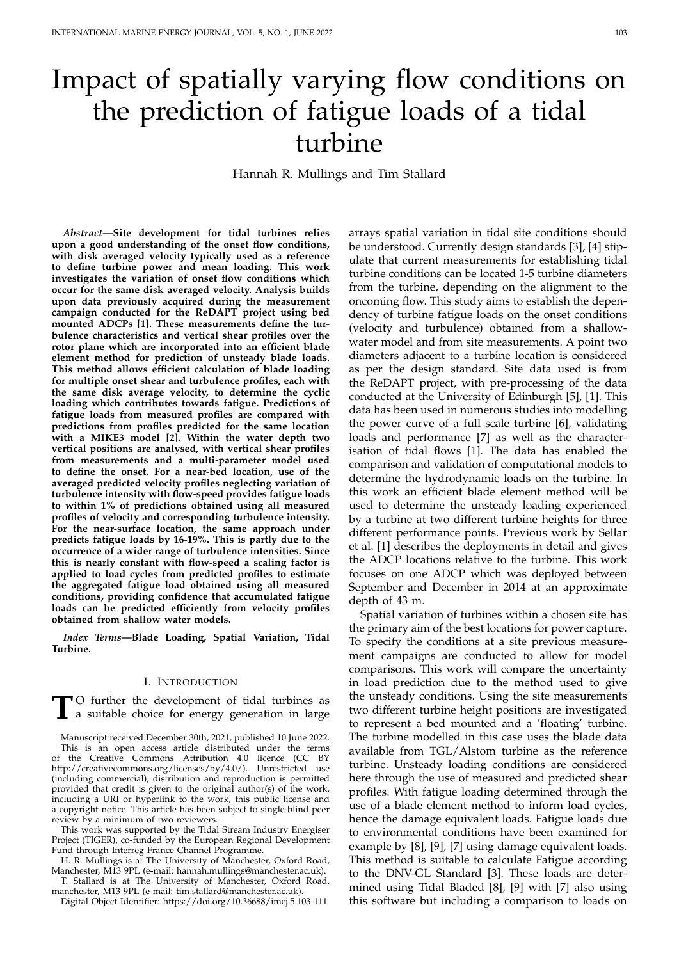# Impact of spatially varying flow conditions on the prediction of fatigue loads of a tidal turbine

Hannah R. Mullings and Tim Stallard

*Abstract***—Site development for tidal turbines relies upon a good understanding of the onset flow conditions, with disk averaged velocity typically used as a reference to define turbine power and mean loading. This work investigates the variation of onset flow conditions which occur for the same disk averaged velocity. Analysis builds upon data previously acquired during the measurement campaign conducted for the ReDAPT project using bed mounted ADCPs [1]. These measurements define the turbulence characteristics and vertical shear profiles over the rotor plane which are incorporated into an efficient blade element method for prediction of unsteady blade loads. This method allows efficient calculation of blade loading for multiple onset shear and turbulence profiles, each with the same disk average velocity, to determine the cyclic loading which contributes towards fatigue. Predictions of fatigue loads from measured profiles are compared with predictions from profiles predicted for the same location with a MIKE3 model [2]. Within the water depth two vertical positions are analysed, with vertical shear profiles from measurements and a multi-parameter model used to define the onset. For a near-bed location, use of the averaged predicted velocity profiles neglecting variation of turbulence intensity with flow-speed provides fatigue loads to within 1% of predictions obtained using all measured profiles of velocity and corresponding turbulence intensity. For the near-surface location, the same approach under predicts fatigue loads by 16-19%. This is partly due to the occurrence of a wider range of turbulence intensities. Since this is nearly constant with flow-speed a scaling factor is applied to load cycles from predicted profiles to estimate the aggregated fatigue load obtained using all measured conditions, providing confidence that accumulated fatigue loads can be predicted efficiently from velocity profiles obtained from shallow water models.**

*Index Terms***—Blade Loading, Spatial Variation, Tidal Turbine.**

#### I. INTRODUCTION

**T**<sup>O</sup> further the development of tidal turbines as a suitable choice for energy generation in large a suitable choice for energy generation in large

Manuscript received December 30th, 2021, published 10 June 2022. This is an open access article distributed under the terms of the Creative Commons Attribution 4.0 licence (CC BY http://creativecommons.org/licenses/by/4.0/). Unrestricted use (including commercial), distribution and reproduction is permitted provided that credit is given to the original author(s) of the work, including a URI or hyperlink to the work, this public license and a copyright notice. This article has been subject to single-blind peer review by a minimum of two reviewers.

This work was supported by the Tidal Stream Industry Energiser Project (TIGER), co-funded by the European Regional Development Fund through Interreg France Channel Programme.

H. R. Mullings is at The University of Manchester, Oxford Road, Manchester, M13 9PL (e-mail: hannah.mullings@manchester.ac.uk). T. Stallard is at The University of Manchester, Oxford Road,

manchester, M13 9PL (e-mail: tim.stallard@manchester.ac.uk).

Digital Object Identifier: https://doi.org/10.36688/imej.5.103-111

arrays spatial variation in tidal site conditions should be understood. Currently design standards [3], [4] stipulate that current measurements for establishing tidal turbine conditions can be located 1-5 turbine diameters from the turbine, depending on the alignment to the oncoming flow. This study aims to establish the dependency of turbine fatigue loads on the onset conditions (velocity and turbulence) obtained from a shallowwater model and from site measurements. A point two diameters adjacent to a turbine location is considered as per the design standard. Site data used is from the ReDAPT project, with pre-processing of the data conducted at the University of Edinburgh [5], [1]. This data has been used in numerous studies into modelling the power curve of a full scale turbine [6], validating loads and performance [7] as well as the characterisation of tidal flows [1]. The data has enabled the comparison and validation of computational models to determine the hydrodynamic loads on the turbine. In this work an efficient blade element method will be used to determine the unsteady loading experienced by a turbine at two different turbine heights for three different performance points. Previous work by Sellar et al. [1] describes the deployments in detail and gives the ADCP locations relative to the turbine. This work focuses on one ADCP which was deployed between September and December in 2014 at an approximate depth of 43 m.

Spatial variation of turbines within a chosen site has the primary aim of the best locations for power capture. To specify the conditions at a site previous measurement campaigns are conducted to allow for model comparisons. This work will compare the uncertainty in load prediction due to the method used to give the unsteady conditions. Using the site measurements two different turbine height positions are investigated to represent a bed mounted and a 'floating' turbine. The turbine modelled in this case uses the blade data available from TGL/Alstom turbine as the reference turbine. Unsteady loading conditions are considered here through the use of measured and predicted shear profiles. With fatigue loading determined through the use of a blade element method to inform load cycles, hence the damage equivalent loads. Fatigue loads due to environmental conditions have been examined for example by [8], [9], [7] using damage equivalent loads. This method is suitable to calculate Fatigue according to the DNV-GL Standard [3]. These loads are determined using Tidal Bladed [8], [9] with [7] also using this software but including a comparison to loads on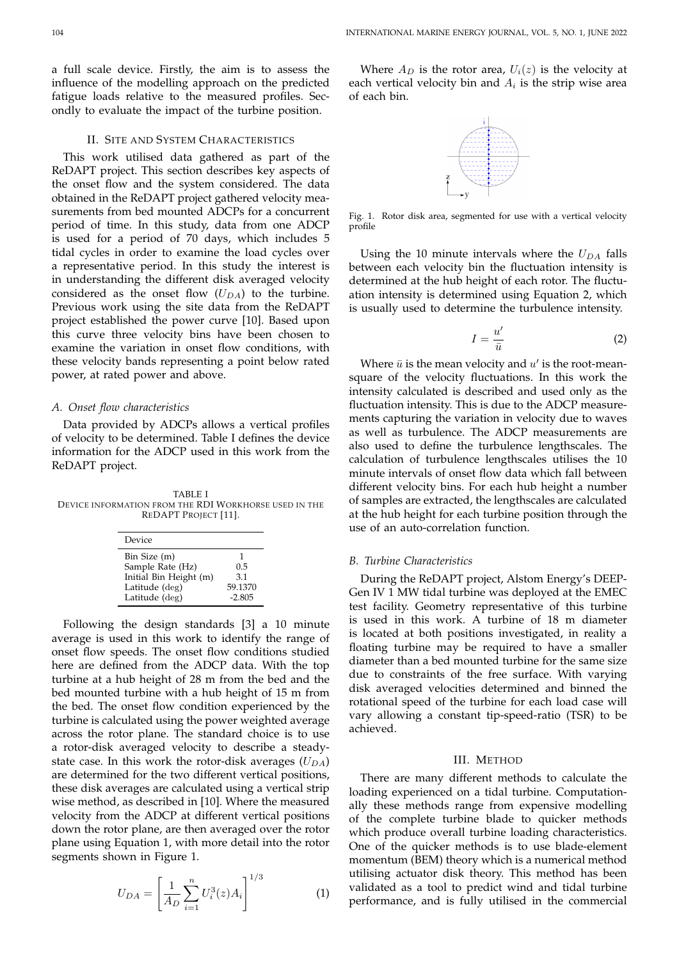a full scale device. Firstly, the aim is to assess the influence of the modelling approach on the predicted fatigue loads relative to the measured profiles. Secondly to evaluate the impact of the turbine position.

#### II. SITE AND SYSTEM CHARACTERISTICS

This work utilised data gathered as part of the ReDAPT project. This section describes key aspects of the onset flow and the system considered. The data obtained in the ReDAPT project gathered velocity measurements from bed mounted ADCPs for a concurrent period of time. In this study, data from one ADCP is used for a period of 70 days, which includes 5 tidal cycles in order to examine the load cycles over a representative period. In this study the interest is in understanding the different disk averaged velocity considered as the onset flow  $(U_{DA})$  to the turbine. Previous work using the site data from the ReDAPT project established the power curve [10]. Based upon this curve three velocity bins have been chosen to examine the variation in onset flow conditions, with these velocity bands representing a point below rated power, at rated power and above.

## *A. Onset flow characteristics*

Data provided by ADCPs allows a vertical profiles of velocity to be determined. Table I defines the device information for the ADCP used in this work from the ReDAPT project.

TABLE I DEVICE INFORMATION FROM THE RDI WORKHORSE USED IN THE REDAPT PROJECT [11].

| Device                 |          |
|------------------------|----------|
| Bin Size (m)           | 1        |
| Sample Rate (Hz)       | 0.5      |
| Initial Bin Height (m) | 3.1      |
| Latitude (deg)         | 59.1370  |
| Latitude (deg)         | $-2.805$ |

Following the design standards [3] a 10 minute average is used in this work to identify the range of onset flow speeds. The onset flow conditions studied here are defined from the ADCP data. With the top turbine at a hub height of 28 m from the bed and the bed mounted turbine with a hub height of 15 m from the bed. The onset flow condition experienced by the turbine is calculated using the power weighted average across the rotor plane. The standard choice is to use a rotor-disk averaged velocity to describe a steadystate case. In this work the rotor-disk averages  $(U_{DA})$ are determined for the two different vertical positions, these disk averages are calculated using a vertical strip wise method, as described in [10]. Where the measured velocity from the ADCP at different vertical positions down the rotor plane, are then averaged over the rotor plane using Equation 1, with more detail into the rotor segments shown in Figure 1.

$$
U_{DA} = \left[\frac{1}{A_D} \sum_{i=1}^{n} U_i^3(z) A_i\right]^{1/3} \tag{1}
$$

Where  $A_D$  is the rotor area,  $U_i(z)$  is the velocity at each vertical velocity bin and  $A_i$  is the strip wise area of each bin.



Fig. 1. Rotor disk area, segmented for use with a vertical velocity profile

Using the 10 minute intervals where the  $U_{DA}$  falls between each velocity bin the fluctuation intensity is determined at the hub height of each rotor. The fluctuation intensity is determined using Equation 2, which is usually used to determine the turbulence intensity.

$$
I = \frac{u'}{\bar{u}}\tag{2}
$$

Where  $\bar{u}$  is the mean velocity and  $u'$  is the root-meansquare of the velocity fluctuations. In this work the intensity calculated is described and used only as the fluctuation intensity. This is due to the ADCP measurements capturing the variation in velocity due to waves as well as turbulence. The ADCP measurements are also used to define the turbulence lengthscales. The calculation of turbulence lengthscales utilises the 10 minute intervals of onset flow data which fall between different velocity bins. For each hub height a number of samples are extracted, the lengthscales are calculated at the hub height for each turbine position through the use of an auto-correlation function.

## *B. Turbine Characteristics*

During the ReDAPT project, Alstom Energy's DEEP-Gen IV 1 MW tidal turbine was deployed at the EMEC test facility. Geometry representative of this turbine is used in this work. A turbine of 18 m diameter is located at both positions investigated, in reality a floating turbine may be required to have a smaller diameter than a bed mounted turbine for the same size due to constraints of the free surface. With varying disk averaged velocities determined and binned the rotational speed of the turbine for each load case will vary allowing a constant tip-speed-ratio (TSR) to be achieved.

# III. METHOD

There are many different methods to calculate the loading experienced on a tidal turbine. Computationally these methods range from expensive modelling of the complete turbine blade to quicker methods which produce overall turbine loading characteristics. One of the quicker methods is to use blade-element momentum (BEM) theory which is a numerical method utilising actuator disk theory. This method has been validated as a tool to predict wind and tidal turbine performance, and is fully utilised in the commercial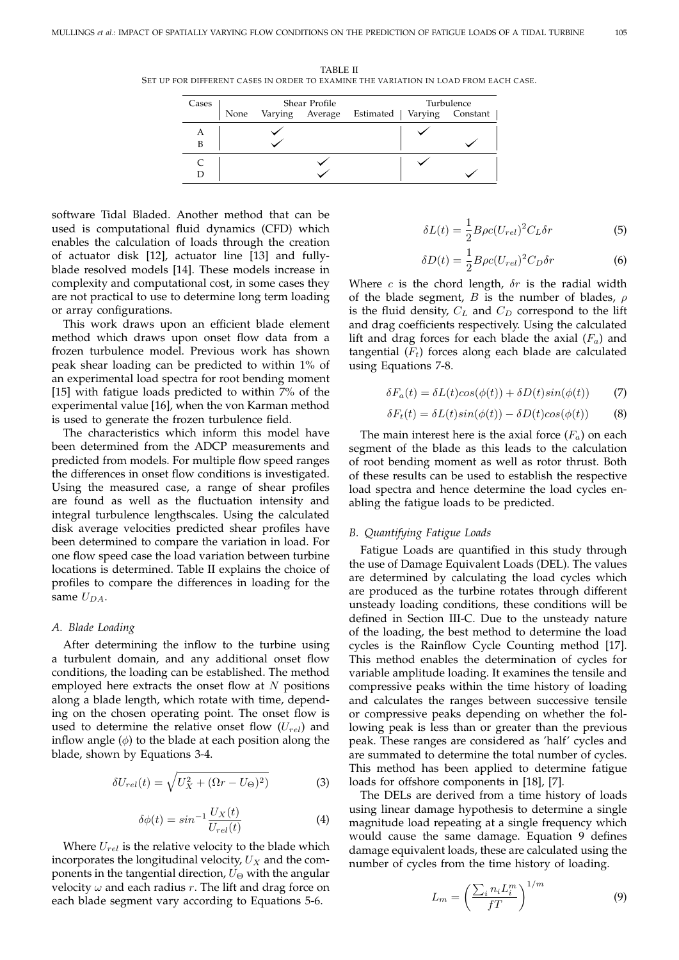TABLE II SET UP FOR DIFFERENT CASES IN ORDER TO EXAMINE THE VARIATION IN LOAD FROM EACH CASE.

| Cases | Shear Profile |  |  | Turbulence                                      |  |
|-------|---------------|--|--|-------------------------------------------------|--|
|       |               |  |  | None Varying Average Estimated Varying Constant |  |
| A     |               |  |  |                                                 |  |
|       |               |  |  |                                                 |  |
|       |               |  |  |                                                 |  |
|       |               |  |  |                                                 |  |

software Tidal Bladed. Another method that can be used is computational fluid dynamics (CFD) which enables the calculation of loads through the creation of actuator disk [12], actuator line [13] and fullyblade resolved models [14]. These models increase in complexity and computational cost, in some cases they are not practical to use to determine long term loading or array configurations.

This work draws upon an efficient blade element method which draws upon onset flow data from a frozen turbulence model. Previous work has shown peak shear loading can be predicted to within 1% of an experimental load spectra for root bending moment [15] with fatigue loads predicted to within 7% of the experimental value [16], when the von Karman method is used to generate the frozen turbulence field.

The characteristics which inform this model have been determined from the ADCP measurements and predicted from models. For multiple flow speed ranges the differences in onset flow conditions is investigated. Using the measured case, a range of shear profiles are found as well as the fluctuation intensity and integral turbulence lengthscales. Using the calculated disk average velocities predicted shear profiles have been determined to compare the variation in load. For one flow speed case the load variation between turbine locations is determined. Table II explains the choice of profiles to compare the differences in loading for the same  $U_{DA}$ .

## *A. Blade Loading*

After determining the inflow to the turbine using a turbulent domain, and any additional onset flow conditions, the loading can be established. The method employed here extracts the onset flow at  $N$  positions along a blade length, which rotate with time, depending on the chosen operating point. The onset flow is used to determine the relative onset flow  $(U_{rel})$  and inflow angle  $(\phi)$  to the blade at each position along the blade, shown by Equations 3-4.

$$
\delta U_{rel}(t) = \sqrt{U_X^2 + (\Omega r - U_\Theta)^2)}
$$
 (3)

$$
\delta\phi(t) = \sin^{-1}\frac{U_X(t)}{U_{rel}(t)}\tag{4}
$$

Where  $U_{rel}$  is the relative velocity to the blade which incorporates the longitudinal velocity,  $U_X$  and the components in the tangential direction,  $U_{\Theta}$  with the angular velocity  $\omega$  and each radius r. The lift and drag force on each blade segment vary according to Equations 5-6.

$$
\delta L(t) = \frac{1}{2} B\rho c (U_{rel})^2 C_L \delta r \tag{5}
$$

$$
\delta D(t) = \frac{1}{2} B \rho c (U_{rel})^2 C_D \delta r \tag{6}
$$

Where c is the chord length,  $\delta r$  is the radial width of the blade segment, B is the number of blades,  $\rho$ is the fluid density,  $C_L$  and  $C_D$  correspond to the lift and drag coefficients respectively. Using the calculated lift and drag forces for each blade the axial  $(F_a)$  and tangential  $(F_t)$  forces along each blade are calculated using Equations 7-8.

$$
\delta F_a(t) = \delta L(t)\cos(\phi(t)) + \delta D(t)\sin(\phi(t))\tag{7}
$$

$$
\delta F_t(t) = \delta L(t) \sin(\phi(t)) - \delta D(t) \cos(\phi(t)) \tag{8}
$$

The main interest here is the axial force  $(F_a)$  on each segment of the blade as this leads to the calculation of root bending moment as well as rotor thrust. Both of these results can be used to establish the respective load spectra and hence determine the load cycles enabling the fatigue loads to be predicted.

#### *B. Quantifying Fatigue Loads*

Fatigue Loads are quantified in this study through the use of Damage Equivalent Loads (DEL). The values are determined by calculating the load cycles which are produced as the turbine rotates through different unsteady loading conditions, these conditions will be defined in Section III-C. Due to the unsteady nature of the loading, the best method to determine the load cycles is the Rainflow Cycle Counting method [17]. This method enables the determination of cycles for variable amplitude loading. It examines the tensile and compressive peaks within the time history of loading and calculates the ranges between successive tensile or compressive peaks depending on whether the following peak is less than or greater than the previous peak. These ranges are considered as 'half' cycles and are summated to determine the total number of cycles. This method has been applied to determine fatigue loads for offshore components in [18], [7].

The DELs are derived from a time history of loads using linear damage hypothesis to determine a single magnitude load repeating at a single frequency which would cause the same damage. Equation 9 defines damage equivalent loads, these are calculated using the number of cycles from the time history of loading.

$$
L_m = \left(\frac{\sum_i n_i L_i^m}{f} \right)^{1/m} \tag{9}
$$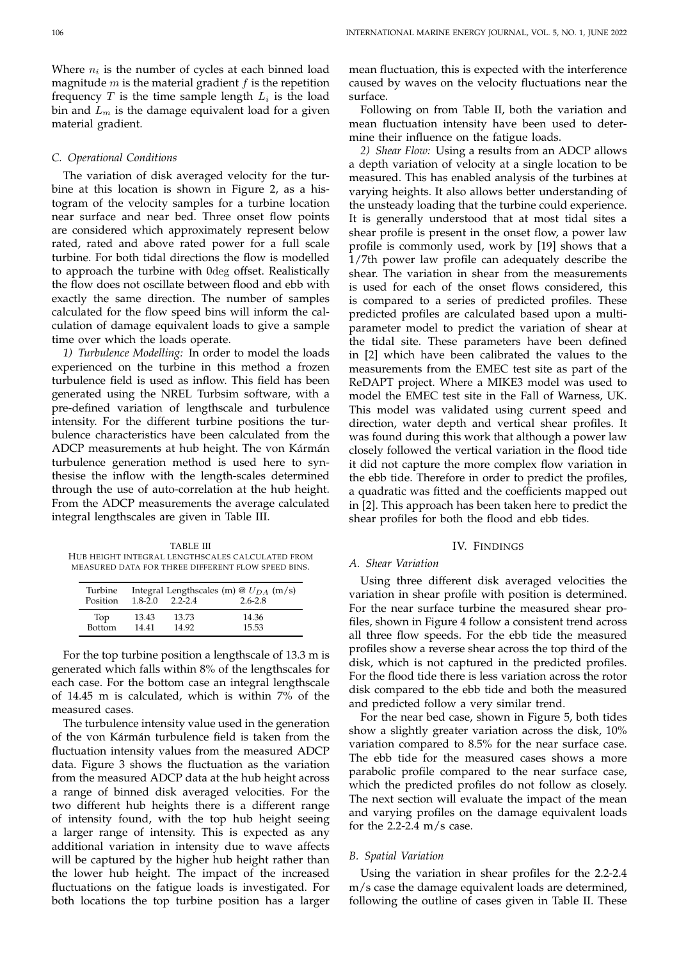Where  $n_i$  is the number of cycles at each binned load magnitude  $m$  is the material gradient  $f$  is the repetition frequency T is the time sample length  $L_i$  is the load bin and  $L_m$  is the damage equivalent load for a given material gradient.

#### *C. Operational Conditions*

The variation of disk averaged velocity for the turbine at this location is shown in Figure 2, as a histogram of the velocity samples for a turbine location near surface and near bed. Three onset flow points are considered which approximately represent below rated, rated and above rated power for a full scale turbine. For both tidal directions the flow is modelled to approach the turbine with 0deg offset. Realistically the flow does not oscillate between flood and ebb with exactly the same direction. The number of samples calculated for the flow speed bins will inform the calculation of damage equivalent loads to give a sample time over which the loads operate.

*1) Turbulence Modelling:* In order to model the loads experienced on the turbine in this method a frozen turbulence field is used as inflow. This field has been generated using the NREL Turbsim software, with a pre-defined variation of lengthscale and turbulence intensity. For the different turbine positions the turbulence characteristics have been calculated from the ADCP measurements at hub height. The von Kármán turbulence generation method is used here to synthesise the inflow with the length-scales determined through the use of auto-correlation at the hub height. From the ADCP measurements the average calculated integral lengthscales are given in Table III.

TABLE III HUB HEIGHT INTEGRAL LENGTHSCALES CALCULATED FROM MEASURED DATA FOR THREE DIFFERENT FLOW SPEED BINS.

| Turbine<br>Position | $1.8 - 2.0$ | $2.2 - 2.4$ | Integral Lengthscales (m) @ $U_{DA}$ (m/s)<br>$2.6 - 2.8$ |
|---------------------|-------------|-------------|-----------------------------------------------------------|
| Top                 | 13.43       | 13.73       | 14.36                                                     |
| <b>Bottom</b>       | 14 41       | 14.92       | 15.53                                                     |

For the top turbine position a lengthscale of 13.3 m is generated which falls within 8% of the lengthscales for each case. For the bottom case an integral lengthscale of 14.45 m is calculated, which is within 7% of the measured cases.

The turbulence intensity value used in the generation of the von Kármán turbulence field is taken from the fluctuation intensity values from the measured ADCP data. Figure 3 shows the fluctuation as the variation from the measured ADCP data at the hub height across a range of binned disk averaged velocities. For the two different hub heights there is a different range of intensity found, with the top hub height seeing a larger range of intensity. This is expected as any additional variation in intensity due to wave affects will be captured by the higher hub height rather than the lower hub height. The impact of the increased fluctuations on the fatigue loads is investigated. For both locations the top turbine position has a larger mean fluctuation, this is expected with the interference caused by waves on the velocity fluctuations near the surface.

Following on from Table II, both the variation and mean fluctuation intensity have been used to determine their influence on the fatigue loads.

*2) Shear Flow:* Using a results from an ADCP allows a depth variation of velocity at a single location to be measured. This has enabled analysis of the turbines at varying heights. It also allows better understanding of the unsteady loading that the turbine could experience. It is generally understood that at most tidal sites a shear profile is present in the onset flow, a power law profile is commonly used, work by [19] shows that a 1/7th power law profile can adequately describe the shear. The variation in shear from the measurements is used for each of the onset flows considered, this is compared to a series of predicted profiles. These predicted profiles are calculated based upon a multiparameter model to predict the variation of shear at the tidal site. These parameters have been defined in [2] which have been calibrated the values to the measurements from the EMEC test site as part of the ReDAPT project. Where a MIKE3 model was used to model the EMEC test site in the Fall of Warness, UK. This model was validated using current speed and direction, water depth and vertical shear profiles. It was found during this work that although a power law closely followed the vertical variation in the flood tide it did not capture the more complex flow variation in the ebb tide. Therefore in order to predict the profiles, a quadratic was fitted and the coefficients mapped out in [2]. This approach has been taken here to predict the shear profiles for both the flood and ebb tides.

## IV. FINDINGS

# *A. Shear Variation*

Using three different disk averaged velocities the variation in shear profile with position is determined. For the near surface turbine the measured shear profiles, shown in Figure 4 follow a consistent trend across all three flow speeds. For the ebb tide the measured profiles show a reverse shear across the top third of the disk, which is not captured in the predicted profiles. For the flood tide there is less variation across the rotor disk compared to the ebb tide and both the measured and predicted follow a very similar trend.

For the near bed case, shown in Figure 5, both tides show a slightly greater variation across the disk, 10% variation compared to 8.5% for the near surface case. The ebb tide for the measured cases shows a more parabolic profile compared to the near surface case, which the predicted profiles do not follow as closely. The next section will evaluate the impact of the mean and varying profiles on the damage equivalent loads for the  $2.2$ -2.4 m/s case.

# *B. Spatial Variation*

Using the variation in shear profiles for the 2.2-2.4 m/s case the damage equivalent loads are determined, following the outline of cases given in Table II. These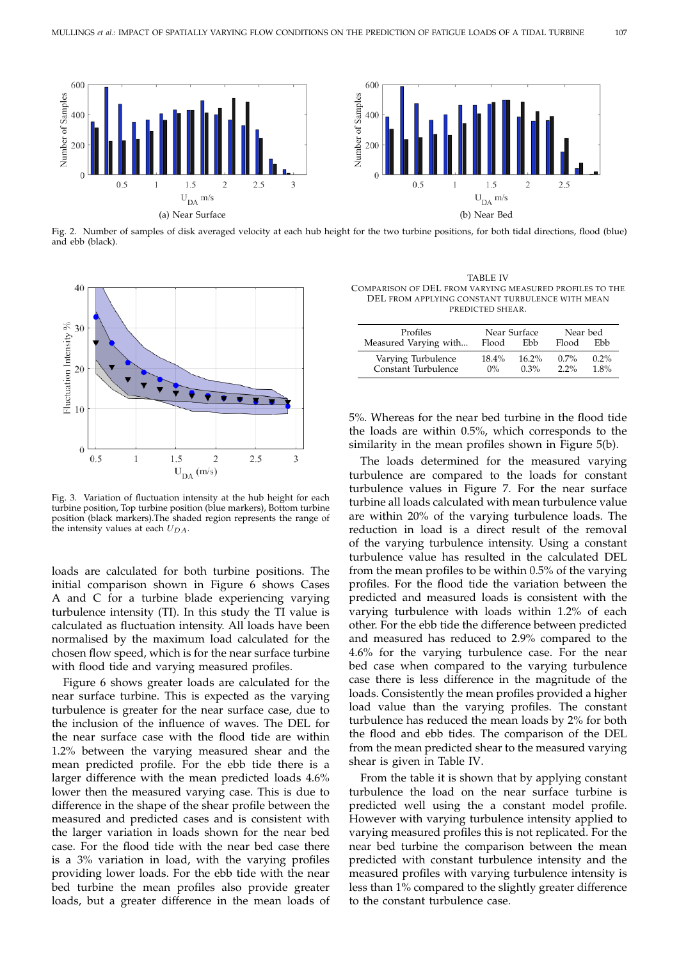

Fig. 2. Number of samples of disk averaged velocity at each hub height for the two turbine positions, for both tidal directions, flood (blue) and ebb (black).



Fig. 3. Variation of fluctuation intensity at the hub height for each turbine position, Top turbine position (blue markers), Bottom turbine position (black markers).The shaded region represents the range of the intensity values at each  $U_{DA}$ .

loads are calculated for both turbine positions. The initial comparison shown in Figure 6 shows Cases A and C for a turbine blade experiencing varying turbulence intensity (TI). In this study the TI value is calculated as fluctuation intensity. All loads have been normalised by the maximum load calculated for the chosen flow speed, which is for the near surface turbine with flood tide and varying measured profiles.

Figure 6 shows greater loads are calculated for the near surface turbine. This is expected as the varying turbulence is greater for the near surface case, due to the inclusion of the influence of waves. The DEL for the near surface case with the flood tide are within 1.2% between the varying measured shear and the mean predicted profile. For the ebb tide there is a larger difference with the mean predicted loads 4.6% lower then the measured varying case. This is due to difference in the shape of the shear profile between the measured and predicted cases and is consistent with the larger variation in loads shown for the near bed case. For the flood tide with the near bed case there is a 3% variation in load, with the varying profiles providing lower loads. For the ebb tide with the near bed turbine the mean profiles also provide greater loads, but a greater difference in the mean loads of

TABLE IV COMPARISON OF DEL FROM VARYING MEASURED PROFILES TO THE DEL FROM APPLYING CONSTANT TURBULENCE WITH MEAN PREDICTED SHEAR.

| Profiles                                  | Near Surface   |                     | Near bed           |                 |
|-------------------------------------------|----------------|---------------------|--------------------|-----------------|
| Measured Varying with                     | Flood          | Ebb                 | Flood              | Ebb             |
| Varying Turbulence<br>Constant Turbulence | 18.4%<br>$0\%$ | $16.2\%$<br>$0.3\%$ | $0.7\%$<br>$2.2\%$ | $0.2\%$<br>1.8% |

5%. Whereas for the near bed turbine in the flood tide the loads are within 0.5%, which corresponds to the similarity in the mean profiles shown in Figure 5(b).

The loads determined for the measured varying turbulence are compared to the loads for constant turbulence values in Figure 7. For the near surface turbine all loads calculated with mean turbulence value are within 20% of the varying turbulence loads. The reduction in load is a direct result of the removal of the varying turbulence intensity. Using a constant turbulence value has resulted in the calculated DEL from the mean profiles to be within 0.5% of the varying profiles. For the flood tide the variation between the predicted and measured loads is consistent with the varying turbulence with loads within 1.2% of each other. For the ebb tide the difference between predicted and measured has reduced to 2.9% compared to the 4.6% for the varying turbulence case. For the near bed case when compared to the varying turbulence case there is less difference in the magnitude of the loads. Consistently the mean profiles provided a higher load value than the varying profiles. The constant turbulence has reduced the mean loads by 2% for both the flood and ebb tides. The comparison of the DEL from the mean predicted shear to the measured varying shear is given in Table IV.

From the table it is shown that by applying constant turbulence the load on the near surface turbine is predicted well using the a constant model profile. However with varying turbulence intensity applied to varying measured profiles this is not replicated. For the near bed turbine the comparison between the mean predicted with constant turbulence intensity and the measured profiles with varying turbulence intensity is less than 1% compared to the slightly greater difference to the constant turbulence case.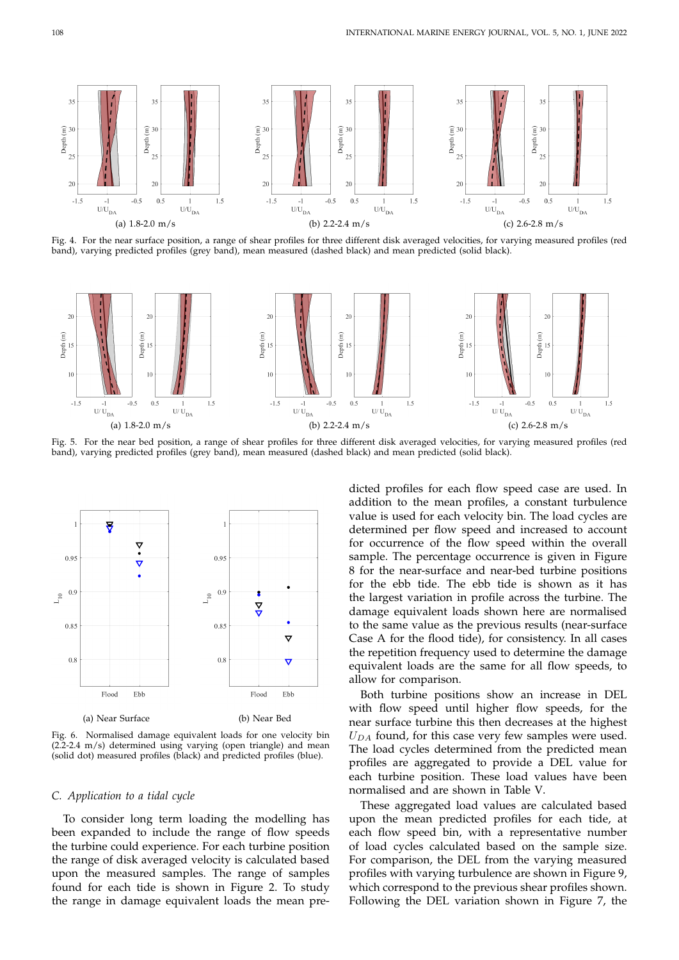

Fig. 4. For the near surface position, a range of shear profiles for three different disk averaged velocities, for varying measured profiles (red band), varying predicted profiles (grey band), mean measured (dashed black) and mean predicted (solid black).



Fig. 5. For the near bed position, a range of shear profiles for three different disk averaged velocities, for varying measured profiles (red band), varying predicted profiles (grey band), mean measured (dashed black) and mean predicted (solid black).



(a) Near Surface (b) Near Bed

Fig. 6. Normalised damage equivalent loads for one velocity bin  $(2.2-2.4 \, \text{m/s})$  determined using varying (open triangle) and mean (solid dot) measured profiles (black) and predicted profiles (blue).

#### *C. Application to a tidal cycle*

To consider long term loading the modelling has been expanded to include the range of flow speeds the turbine could experience. For each turbine position the range of disk averaged velocity is calculated based upon the measured samples. The range of samples found for each tide is shown in Figure 2. To study the range in damage equivalent loads the mean predicted profiles for each flow speed case are used. In addition to the mean profiles, a constant turbulence value is used for each velocity bin. The load cycles are determined per flow speed and increased to account for occurrence of the flow speed within the overall sample. The percentage occurrence is given in Figure 8 for the near-surface and near-bed turbine positions for the ebb tide. The ebb tide is shown as it has the largest variation in profile across the turbine. The damage equivalent loads shown here are normalised to the same value as the previous results (near-surface Case A for the flood tide), for consistency. In all cases the repetition frequency used to determine the damage equivalent loads are the same for all flow speeds, to allow for comparison.

Both turbine positions show an increase in DEL with flow speed until higher flow speeds, for the near surface turbine this then decreases at the highest  $U_{DA}$  found, for this case very few samples were used. The load cycles determined from the predicted mean profiles are aggregated to provide a DEL value for each turbine position. These load values have been normalised and are shown in Table V.

These aggregated load values are calculated based upon the mean predicted profiles for each tide, at each flow speed bin, with a representative number of load cycles calculated based on the sample size. For comparison, the DEL from the varying measured profiles with varying turbulence are shown in Figure 9, which correspond to the previous shear profiles shown. Following the DEL variation shown in Figure 7, the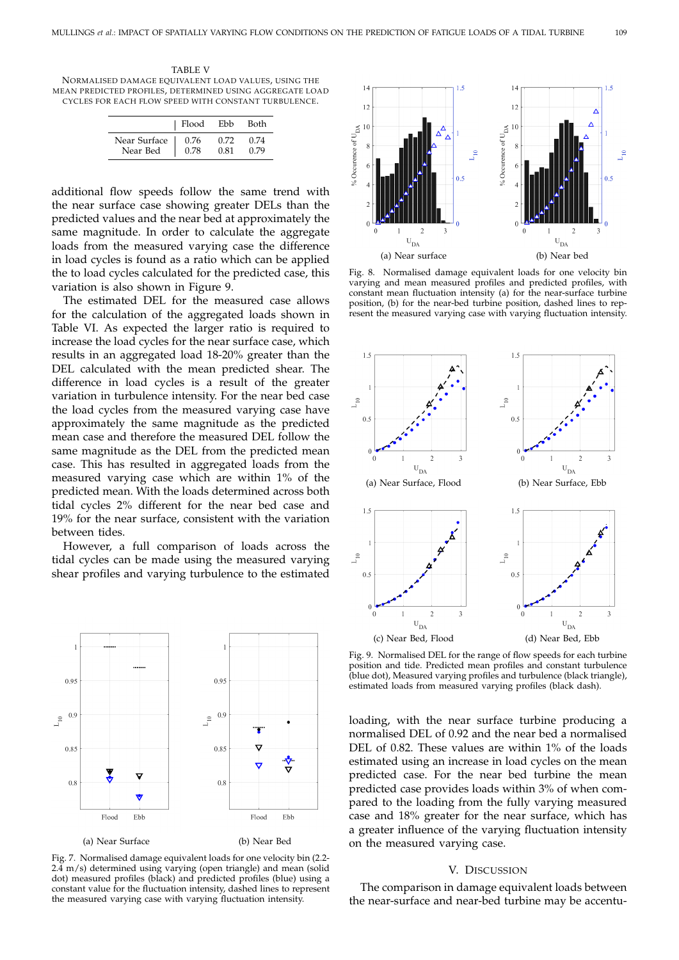TABLE V NORMALISED DAMAGE EQUIVALENT LOAD VALUES, USING THE MEAN PREDICTED PROFILES, DETERMINED USING AGGREGATE LOAD CYCLES FOR EACH FLOW SPEED WITH CONSTANT TURBULENCE.

|              | Flood | Ebb  | Both |
|--------------|-------|------|------|
| Near Surface | 0.76  | 0.72 | 0.74 |
| Near Bed     | 0.78  | 0.81 | 0.79 |

additional flow speeds follow the same trend with the near surface case showing greater DELs than the predicted values and the near bed at approximately the same magnitude. In order to calculate the aggregate loads from the measured varying case the difference in load cycles is found as a ratio which can be applied the to load cycles calculated for the predicted case, this variation is also shown in Figure 9.

The estimated DEL for the measured case allows for the calculation of the aggregated loads shown in Table VI. As expected the larger ratio is required to increase the load cycles for the near surface case, which results in an aggregated load 18-20% greater than the DEL calculated with the mean predicted shear. The difference in load cycles is a result of the greater variation in turbulence intensity. For the near bed case the load cycles from the measured varying case have approximately the same magnitude as the predicted mean case and therefore the measured DEL follow the same magnitude as the DEL from the predicted mean case. This has resulted in aggregated loads from the measured varying case which are within 1% of the predicted mean. With the loads determined across both tidal cycles 2% different for the near bed case and 19% for the near surface, consistent with the variation between tides.

However, a full comparison of loads across the tidal cycles can be made using the measured varying shear profiles and varying turbulence to the estimated



Fig. 7. Normalised damage equivalent loads for one velocity bin (2.2- 2.4 m/s) determined using varying (open triangle) and mean (solid dot) measured profiles (black) and predicted profiles (blue) using a constant value for the fluctuation intensity, dashed lines to represent the measured varying case with varying fluctuation intensity.



Fig. 8. Normalised damage equivalent loads for one velocity bin varying and mean measured profiles and predicted profiles, with constant mean fluctuation intensity (a) for the near-surface turbine position, (b) for the near-bed turbine position, dashed lines to represent the measured varying case with varying fluctuation intensity.



Fig. 9. Normalised DEL for the range of flow speeds for each turbine position and tide. Predicted mean profiles and constant turbulence (blue dot), Measured varying profiles and turbulence (black triangle), estimated loads from measured varying profiles (black dash).

loading, with the near surface turbine producing a normalised DEL of 0.92 and the near bed a normalised DEL of 0.82. These values are within 1% of the loads estimated using an increase in load cycles on the mean predicted case. For the near bed turbine the mean predicted case provides loads within 3% of when compared to the loading from the fully varying measured case and 18% greater for the near surface, which has a greater influence of the varying fluctuation intensity on the measured varying case.

#### V. DISCUSSION

The comparison in damage equivalent loads between the near-surface and near-bed turbine may be accentu-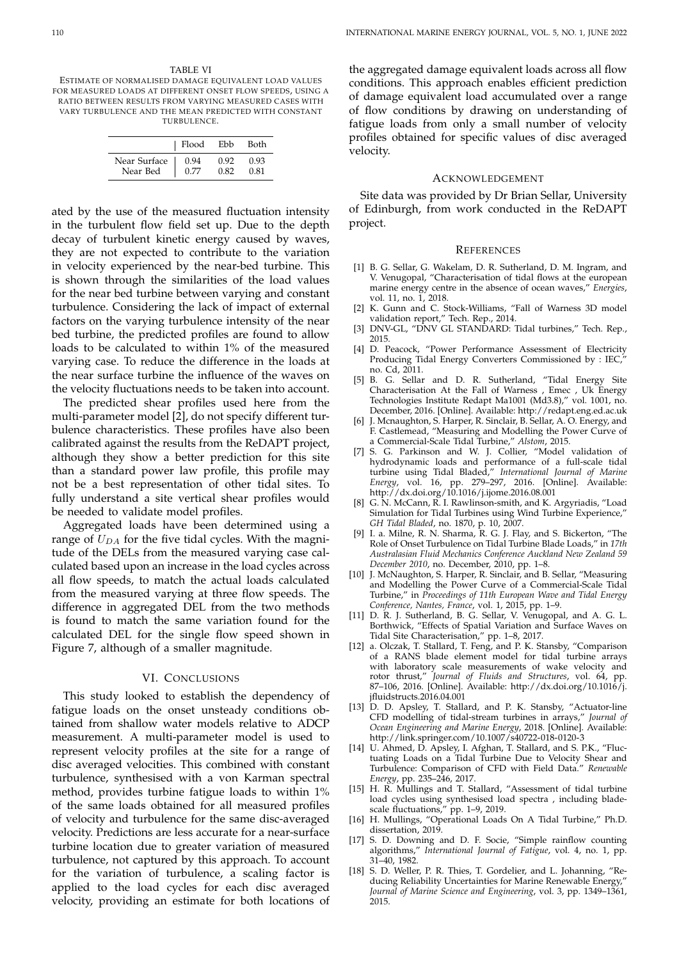TABLE VI ESTIMATE OF NORMALISED DAMAGE EQUIVALENT LOAD VALUES FOR MEASURED LOADS AT DIFFERENT ONSET FLOW SPEEDS, USING A RATIO BETWEEN RESULTS FROM VARYING MEASURED CASES WITH VARY TURBULENCE AND THE MEAN PREDICTED WITH CONSTANT TURBULENCE.

|                          | Flood | Ebb  | Both |
|--------------------------|-------|------|------|
| Near Surface<br>Near Bed | 0.94  | 0.92 | 0.93 |
|                          | 0.77  | 0.82 | 0.81 |

ated by the use of the measured fluctuation intensity in the turbulent flow field set up. Due to the depth decay of turbulent kinetic energy caused by waves, they are not expected to contribute to the variation in velocity experienced by the near-bed turbine. This is shown through the similarities of the load values for the near bed turbine between varying and constant turbulence. Considering the lack of impact of external factors on the varying turbulence intensity of the near bed turbine, the predicted profiles are found to allow loads to be calculated to within 1% of the measured varying case. To reduce the difference in the loads at the near surface turbine the influence of the waves on the velocity fluctuations needs to be taken into account.

The predicted shear profiles used here from the multi-parameter model [2], do not specify different turbulence characteristics. These profiles have also been calibrated against the results from the ReDAPT project, although they show a better prediction for this site than a standard power law profile, this profile may not be a best representation of other tidal sites. To fully understand a site vertical shear profiles would be needed to validate model profiles.

Aggregated loads have been determined using a range of  $U_{DA}$  for the five tidal cycles. With the magnitude of the DELs from the measured varying case calculated based upon an increase in the load cycles across all flow speeds, to match the actual loads calculated from the measured varying at three flow speeds. The difference in aggregated DEL from the two methods is found to match the same variation found for the calculated DEL for the single flow speed shown in Figure 7, although of a smaller magnitude.

## VI. CONCLUSIONS

This study looked to establish the dependency of fatigue loads on the onset unsteady conditions obtained from shallow water models relative to ADCP measurement. A multi-parameter model is used to represent velocity profiles at the site for a range of disc averaged velocities. This combined with constant turbulence, synthesised with a von Karman spectral method, provides turbine fatigue loads to within 1% of the same loads obtained for all measured profiles of velocity and turbulence for the same disc-averaged velocity. Predictions are less accurate for a near-surface turbine location due to greater variation of measured turbulence, not captured by this approach. To account for the variation of turbulence, a scaling factor is applied to the load cycles for each disc averaged velocity, providing an estimate for both locations of

the aggregated damage equivalent loads across all flow conditions. This approach enables efficient prediction of damage equivalent load accumulated over a range of flow conditions by drawing on understanding of fatigue loads from only a small number of velocity profiles obtained for specific values of disc averaged velocity.

#### ACKNOWLEDGEMENT

Site data was provided by Dr Brian Sellar, University of Edinburgh, from work conducted in the ReDAPT project.

#### **REFERENCES**

- [1] B. G. Sellar, G. Wakelam, D. R. Sutherland, D. M. Ingram, and V. Venugopal, "Characterisation of tidal flows at the european marine energy centre in the absence of ocean waves," *Energies*, vol. 11, no. 1, 2018.
- [2] K. Gunn and C. Stock-Williams, "Fall of Warness 3D model validation report," Tech. Rep., 2014.
- [3] DNV-GL, "DNV GL STANDARD: Tidal turbines," Tech. Rep., 2015.
- [4] D. Peacock, "Power Performance Assessment of Electricity Producing Tidal Energy Converters Commissioned by : IEC, no. Cd, 2011.
- [5] B. G. Sellar and D. R. Sutherland, "Tidal Energy Site Characterisation At the Fall of Warness , Emec , Uk Energy Technologies Institute Redapt Ma1001 (Md3.8)," vol. 1001, no. December, 2016. [Online]. Available: http://redapt.eng.ed.ac.uk
- [6] J. Mcnaughton, S. Harper, R. Sinclair, B. Sellar, A. O. Energy, and F. Castlemead, "Measuring and Modelling the Power Curve of a Commercial-Scale Tidal Turbine," *Alstom*, 2015.
- [7] S. G. Parkinson and W. J. Collier, "Model validation of hydrodynamic loads and performance of a full-scale tidal turbine using Tidal Bladed," *International Journal of Marine Energy*, vol. 16, pp. 279–297, 2016. [Online]. Available: http://dx.doi.org/10.1016/j.ijome.2016.08.001
- [8] G. N. McCann, R. I. Rawlinson-smith, and K. Argyriadis, "Load Simulation for Tidal Turbines using Wind Turbine Experience," *GH Tidal Bladed*, no. 1870, p. 10, 2007.
- [9] I. a. Milne, R. N. Sharma, R. G. J. Flay, and S. Bickerton, "The Role of Onset Turbulence on Tidal Turbine Blade Loads," in *17th Australasian Fluid Mechanics Conference Auckland New Zealand 59 December 2010*, no. December, 2010, pp. 1–8.
- [10] J. McNaughton, S. Harper, R. Sinclair, and B. Sellar, "Measuring and Modelling the Power Curve of a Commercial-Scale Tidal Turbine," in *Proceedings of 11th European Wave and Tidal Energy Conference, Nantes, France*, vol. 1, 2015, pp. 1–9.
- [11] D. R. J. Sutherland, B. G. Sellar, V. Venugopal, and A. G. L. Borthwick, "Effects of Spatial Variation and Surface Waves on Tidal Site Characterisation," pp. 1–8, 2017.
- [12] a. Olczak, T. Stallard, T. Feng, and P. K. Stansby, "Comparison of a RANS blade element model for tidal turbine arrays with laboratory scale measurements of wake velocity and rotor thrust," *Journal of Fluids and Structures*, vol. 64, pp. 87–106, 2016. [Online]. Available: http://dx.doi.org/10.1016/j. jfluidstructs.2016.04.001
- [13] D. D. Apsley, T. Stallard, and P. K. Stansby, "Actuator-line CFD modelling of tidal-stream turbines in arrays," *Journal of Ocean Engineering and Marine Energy*, 2018. [Online]. Available: http://link.springer.com/10.1007/s40722-018-0120-3
- [14] U. Ahmed, D. Apsley, I. Afghan, T. Stallard, and S. P.K., "Fluctuating Loads on a Tidal Turbine Due to Velocity Shear and Turbulence: Comparison of CFD with Field Data." *Renewable Energy*, pp. 235–246, 2017.
- [15] H. R. Mullings and T. Stallard, "Assessment of tidal turbine load cycles using synthesised load spectra , including bladescale fluctuations," pp. 1–9, 2019.
- [16] H. Mullings, "Operational Loads On A Tidal Turbine," Ph.D. dissertation, 2019.
- [17] S. D. Downing and D. F. Socie, "Simple rainflow counting algorithms," *International Journal of Fatigue*, vol. 4, no. 1, pp. 31–40, 1982.
- [18] S. D. Weller, P. R. Thies, T. Gordelier, and L. Johanning, "Reducing Reliability Uncertainties for Marine Renewable Energy, *Journal of Marine Science and Engineering*, vol. 3, pp. 1349–1361, 2015.